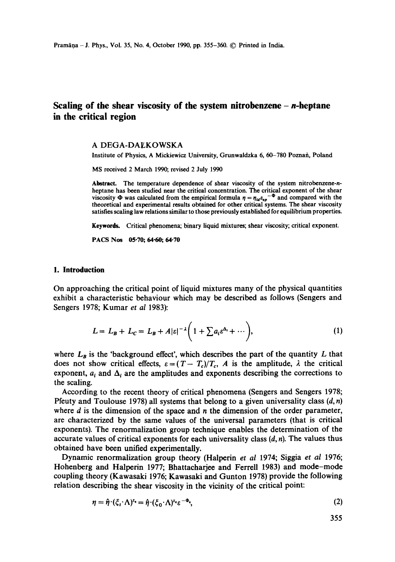# **Scaling of the shear viscosity of the system nitrobenzene- n-heptane in the critical region**

### A DEGA-DALKOWSKA

Institute of Physics, A Mickiewicz University, Grunwaldzka 6, 60-780 Poznań, Poland

MS received 2 March 1990; revised 2 July 1990

Abstract. The temperature dependence of shear viscosity of the system nitrobenzene-nheptane has been studied near the critical concentration. The critical exponent of the shear viscosity  $\Phi$  was calculated from the empirical formula  $\eta = \eta_{id} \varepsilon_{sp}$  and compared with the theoretical and experimental results obtained for other critical systems. The shear viscosity satisfies scaling law relations similar to those previously established for equilibrium properties.

Keywords. Critical phenomena; binary liquid mixtures; shear viscosity; critical exponent.

PACS Nos 05-70; 64.60; 64-70

#### **1. Introduction**

On approaching the critical point of liquid mixtures many of the physical quantities exhibit a characteristic behaviour which may be described as follows (Sengers and Sengers 1978; Kumar *et al* 1983):

$$
L = L_B + L_C = L_B + A|\varepsilon|^{-\lambda} \bigg( 1 + \sum a_i \varepsilon^{\Delta_i} + \cdots \bigg), \tag{1}
$$

where  $L_B$  is the 'background effect', which describes the part of the quantity  $L$  that does not show critical effects,  $\varepsilon = (T - T_c)/T_c$ , A is the amplitude,  $\lambda$  the critical exponent,  $a_i$  and  $\Delta_i$  are the amplitudes and exponents describing the corrections to the scaling.

According to the recent theory of critical phenomena (Sengers and Sengers 1978; Pfeuty and Toulouse 1978) all systems that belong to a given universality class  $(d, n)$ where  $d$  is the dimension of the space and n the dimension of the order parameter, are characterized by the same values of the universal parameters (that is critical exponents). The renormalization group technique enables the determination of the accurate values of critical exponents for each universality class  $(d, n)$ . The values thus obtained have been unified experimentally.

Dynamic renormalization group theory (Halperin *et al* 1974; Siggia *et al* 1976; Hohenberg and Halperin 1977; Bhattacharjee and Ferrell 1983) and mode-mode coupling theory (Kawasaki 1976; Kawasaki and Gunton 1978) provide the following relation describing the shear viscosity in the vicinity of the critical point:

$$
\eta = \hat{\eta} \cdot (\xi_i \cdot \Lambda)^{z_i} = \hat{\eta} \cdot (\xi_0 \cdot \Lambda)^{z_i} \varepsilon^{-\Phi_i},\tag{2}
$$

$$
355\,
$$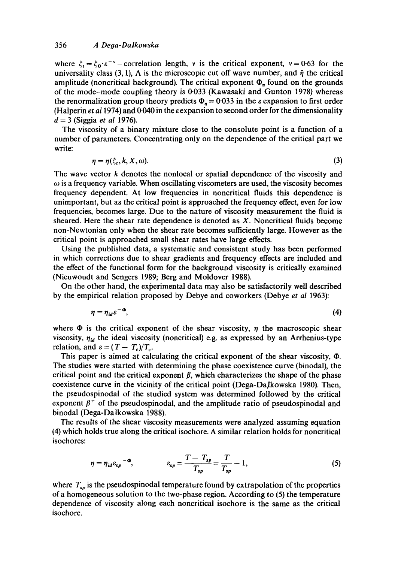where  $\xi_t = \xi_0 \cdot \varepsilon^{-\nu}$  - correlation length, v is the critical exponent,  $v = 0.63$  for the universality class (3, 1),  $\Lambda$  is the microscopic cut off wave number, and  $\hat{\eta}$  the critical amplitude (noncritical background). The critical exponent  $\Phi_n$  found on the grounds of the mode-mode coupling theory is 0-033 (Kawasaki and Gunton 1978) whereas the renormalization group theory predicts  $\Phi_n = 0.033$  in the  $\varepsilon$  expansion to first order (Halperin *et al* 1974) and  $0.040$  in the  $\varepsilon$  expansion to second order for the dimensionality d = 3 (Siggia *et al* 1976).

The viscosity of a binary mixture close to the consolute point is a function of a number of parameters. Concentrating only on the dependence of the critical part we write:

$$
\eta = \eta(\xi_t, k, X, \omega). \tag{3}
$$

The wave vector k denotes the nonlocal or spatial dependence of the viscosity and  $\omega$  is a frequency variable. When oscillating viscometers are used, the viscosity becomes frequency dependent. At low frequencies in noncritical fluids this dependence is unimportant, but as the critical point is approached the frequency effect, even for low frequencies, becomes large. Due to the nature of viscosity measurement the fluid is sheared. Here the shear rate dependence is denoted as  $X$ . Noncritical fluids become non-Newtonian only when the shear rate becomes sufficiently large. However as the critical point is approached small shear rates have large effects.

Using the published data, a systematic and consistent study has been performed in which corrections due to shear gradients and frequency effects are included and the effect of the functional form for the background viscosity is critically examined (Nieuwoudt and Sengers 1989; Berg and Moldover 1988).

On the other hand, the experimental data may also be satisfactorily well described by the empirical relation proposed by Debye and coworkers (Debye *et al* 1963):

$$
\eta = \eta_{id} \varepsilon^{-\Phi},\tag{4}
$$

where  $\Phi$  is the critical exponent of the shear viscosity,  $\eta$  the macroscopic shear viscosity,  $\eta_{id}$  the ideal viscosity (noncritical) e.g. as expressed by an Arrhenius-type relation, and  $\varepsilon = (T - T_c)/T_c$ .

This paper is aimed at calculating the critical exponent of the shear viscosity,  $\Phi$ . The studies were started with determining the phase coexistence curve (binodal), the critical point and the critical exponent  $\beta$ , which characterizes the shape of the phase coexistence curve in the vicinity of the critical point (Dega-DaJkowska 1980). Then, the pseudospinodal of the studied system was determined followed by the critical exponent  $\beta^+$  of the pseudospinodal, and the amplitude ratio of pseudospinodal and binodal (Dega-Dalkowska 1988).

The results of the shear viscosity measurements were analyzed assuming equation (4) which holds true along the critical isochore. A similar relation holds for noncritical isochores:

$$
\eta = \eta_{id} \varepsilon_{sp}^{-\Phi}, \qquad \varepsilon_{sp} = \frac{T - T_{sp}}{T_{sp}} = \frac{T}{T_{sp}} - 1,\tag{5}
$$

where  $T_{sp}$  is the pseudospinodal temperature found by extrapolation of the properties of a homogeneous solution to the two-phase region. According to (5) the temperature dependence of viscosity along each noncritical isochore is the same as the critical isochore.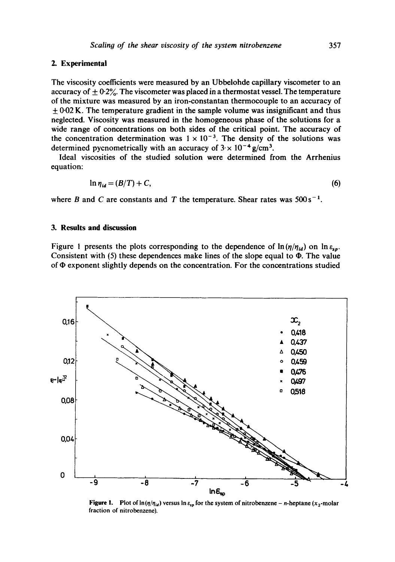### **2. Experimental**

The viscosity coefficients were measured by an Ubbelohde capillary viscometer to an accuracy of  $\pm 0.2$ %. The viscometer was placed in a thermostat vessel. The temperature of the mixture was measured by an iron-constantan thermocouple to an accuracy of  $\pm$  0.02 K. The temperature gradient in the sample volume was insignificant and thus neglected. Viscosity was measured in the homogeneous phase of the solutions for a wide range of concentrations on both sides of the critical point. The accuracy of the concentration determination was  $1 \times 10^{-3}$ . The density of the solutions was determined pycnometrically with an accuracy of  $3 \times 10^{-4}$  g/cm<sup>3</sup>.

Ideal viscosities of the studied solution were determined from the Arrhenius equation:

$$
\ln \eta_{id} = (B/T) + C,\tag{6}
$$

where B and C are constants and T the temperature. Shear rates was  $500 \text{ s}^{-1}$ .

## **3. Results and discussion**

Figure 1 presents the plots corresponding to the dependence of  $\ln(\eta/\eta_{id})$  on  $\ln \varepsilon_{s,p}$ . Consistent with  $(5)$  these dependences make lines of the slope equal to  $\Phi$ . The value of  $\Phi$  exponent slightly depends on the concentration. For the concentrations studied



Figure 1. Plot of  $\ln(\eta/\eta_{id})$  versus  $\ln \varepsilon_{sp}$  for the system of nitrobenzene - n-heptane (x<sub>2</sub>-molar fraction of nitrobenzene).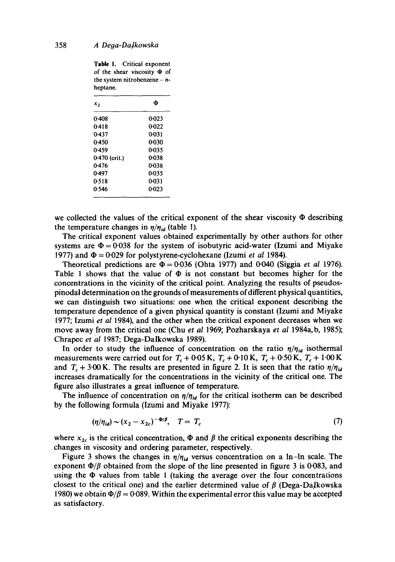**Table** 1. Critical exponent of the shear viscosity  $\Phi$  of the system nitrobenzene  $- n$ heptane.

| x,            | Φ     |
|---------------|-------|
| 0-408         | 0.023 |
| 0-418         | 0.022 |
| 0-437         | 0.031 |
| 0.450         | 0.030 |
| 0.459         | 0.035 |
| 0-470 (crit.) | 0.038 |
| ቡ476          | 0-038 |
| 0.497         | 0-035 |
| 0-518         | 0-031 |
| <b>ቡ546</b>   | 0.023 |

we collected the values of the critical exponent of the shear viscosity  $\Phi$  describing the temperature changes in  $\eta/\eta_{id}$  (table 1).

The critical exponent values obtained experimentally by other authors for other systems are  $\Phi = 0.038$  for the system of isobutyric acid-water (Izumi and Miyake 1977) and  $\Phi = 0.029$  for polystyrene-cyclohexane (Izumi *et al* 1984).

Theoretical predictions are  $\Phi = 0.036$  (Ohta 1977) and 0.040 (Siggia *et al* 1976). Table 1 shows that the value of  $\Phi$  is not constant but becomes higher for the concentrations in the vicinity of the critical point. Analyzing the results of pseudospinodal determination on the grounds of measurements of different physical quantities, we can distinguish two situations: one when the critical exponent describing the temperature dependence of a given physical quantity is constant (Izumi and Miyake 1977; lzumi *et al* 1984), and the other when the critical exponent decreases when we move away from the critical one (Chu *et al* 1969; Pozharskaya *et al* 1984a, b, 1985); Chrapec *et al* 1987; Dega-Da|kowska 1989).

In order to study the influence of concentration on the ratio  $\eta/\eta_{id}$  isothermal measurements were carried out for  $T_c + 0.05$  K,  $T_c + 0.10$  K,  $T_c + 0.50$  K,  $T_c + 1.00$  K and  $T<sub>c</sub> + 3.00$  K. The results are presented in figure 2. It is seen that the ratio  $\eta/\eta_{id}$ increases dramatically for the concentrations in the vicinity of the critical one. The figure also illustrates a great influence of temperature.

The influence of concentration on  $\eta/\eta_{id}$  for the critical isotherm can be described by the following formula (Izumi and Miyake 1977):

$$
(\eta/\eta_{id}) \sim (x_2 - x_{2c})^{-\Phi/\beta}, \quad T = T_c \tag{7}
$$

where  $x_{2c}$  is the critical concentration,  $\Phi$  and  $\beta$  the critical exponents describing the changes in viscosity and ordering parameter, respectively.

Figure 3 shows the changes in  $\eta/\eta_{id}$  versus concentration on a In-In scale. The exponent  $\Phi/\beta$  obtained from the slope of the line presented in figure 3 is 0.083, and using the  $\Phi$  values from table 1 (taking the average over the four concentrations closest to the critical one) and the earlier determined value of  $\beta$  (Dega-DaJkowska 1980) we obtain  $\Phi/\beta = 0.089$ . Within the experimental error this value may be accepted as satisfactory.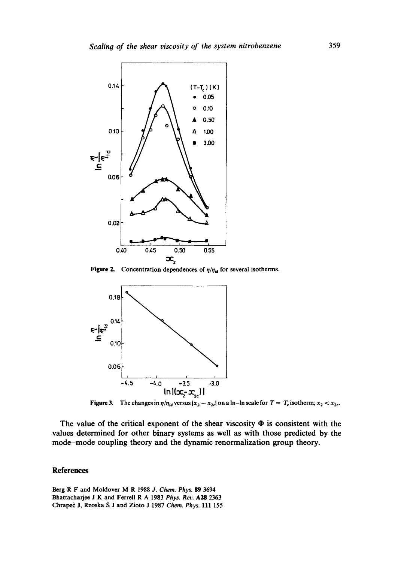

**Figure 2.** Concentration dependences of  $\eta/\eta_{id}$  for several isotherms.



**Figure 3.** The changes in  $\eta/\eta_{id}$  versus  $|x_2 - x_{2c}|$  on a ln-ln scale for  $T = T_c$  isotherm;  $x_2 < x_{2c}$ .

The value of the critical exponent of the shear viscosity  $\Phi$  is consistent with the values determined for other binary systems as well as with those predicted by the mode-mode coupling theory and the dynamic renormalization group theory.

### **References**

Berg R F and Moldover M R 1988 *J. Chem. Phys.* **89** 3694 Bhattacharjee J K and Ferrell R A 1983 *Phys. Rev.* A28 2363 Chrape~ J, Rzoska S J and Zioto J 1987 *Chem. Phys.* 111 155